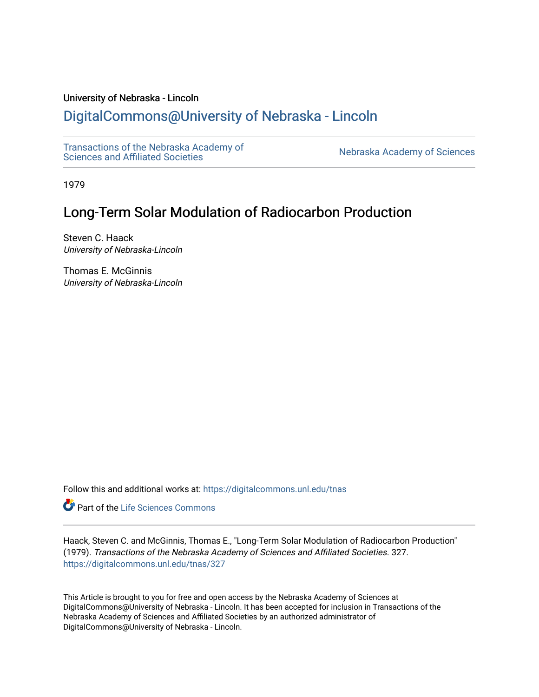### University of Nebraska - Lincoln

# [DigitalCommons@University of Nebraska - Lincoln](https://digitalcommons.unl.edu/)

[Transactions of the Nebraska Academy of](https://digitalcommons.unl.edu/tnas)  Transactions of the Nebraska Academy of Sciences<br>Sciences and Affiliated Societies

1979

# Long-Term Solar Modulation of Radiocarbon Production

Steven C. Haack University of Nebraska-Lincoln

Thomas E. McGinnis University of Nebraska-Lincoln

Follow this and additional works at: [https://digitalcommons.unl.edu/tnas](https://digitalcommons.unl.edu/tnas?utm_source=digitalcommons.unl.edu%2Ftnas%2F327&utm_medium=PDF&utm_campaign=PDFCoverPages) 

**Part of the Life Sciences Commons** 

Haack, Steven C. and McGinnis, Thomas E., "Long-Term Solar Modulation of Radiocarbon Production" (1979). Transactions of the Nebraska Academy of Sciences and Affiliated Societies. 327. [https://digitalcommons.unl.edu/tnas/327](https://digitalcommons.unl.edu/tnas/327?utm_source=digitalcommons.unl.edu%2Ftnas%2F327&utm_medium=PDF&utm_campaign=PDFCoverPages) 

This Article is brought to you for free and open access by the Nebraska Academy of Sciences at DigitalCommons@University of Nebraska - Lincoln. It has been accepted for inclusion in Transactions of the Nebraska Academy of Sciences and Affiliated Societies by an authorized administrator of DigitalCommons@University of Nebraska - Lincoln.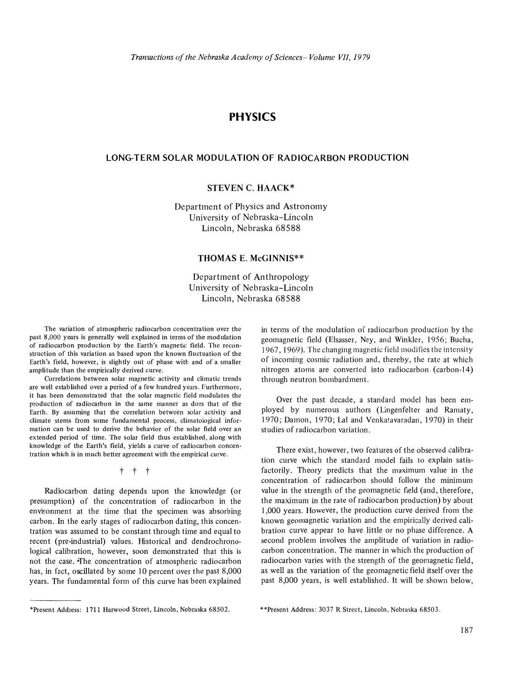## **PHYSICS**

#### **LONG-TERM SOLAR MODULATION OF RADIOCARBON PRODUCTION**

### **STEVEN C. HAACK\***

Department of Physics and Astronomy University of Nebraska-Lincoln Lincoln, Nebraska 68588

#### **THOMAS E. McGINNIS\*\***

Department of Anthropology University of Nebraska-Lincoln Lincoln, Nebraska 68588

The variation of atmospheric radiocarbon concentration over the past 8,000 years is generally well explained in terms of the modulation of radiocarbon production by the Earth's magnetic field. The reconstruction of this variation as based upon the known fluctuation of the Earth's field, however, is slightly out of phase with and of a smaller amplitude than the empirically derived curve.

Correlations between solar magnetic activity and climatic trends are weil established over a period of a few hundred years. Furthermore, it has been demonstrated that the solar magnetic field modulates the production of radiocarbon in the same manner as does that of the Earth. By assuming that the correlation between solar activity and climate stems from some fundamental process, climatological information can be used to derive the behavior of the solar field over an extended period of time. The solar field thus established, along with knowledge of the Earth's field, yields a curve of radiocarbon concentration which is in much better agreement with the empirical curve.

t t t

Radiocarbon dating depends upon the knowledge (or presumption) of the concentration of radiocarbon in the environment at the time that the specimen was absorbing carbon. In the early stages of radiocarbon dating, this concentration was assumed to be constant through time and equal to recent (pre-industrial) values. Historical and dendrochronological calibration, however, soon demonstrated that this is not the case. "fhe concentration of atmospheric radiocarbon has, in fact, oscillated by some 10 percent over the past 8,000 years. The fundamental form of this curve has been explained in terms of the modulation of radiocarbon production by the geomagnetic field (Elsasser, Ney, and Winkler, 1956; Bucha, 1967, 1969). The changing magnetic field modifies the intensity of incoming cosmic radiation and, thereby, the rate at which nitrogen atoms are converted into radiocarbon (carbon-14) through neutron bombardment.

Over the past decade, a standard model has been employed by numerous authors (Lingenfelter and Ramaty, 1970; Damon, 1970; Lal and Venkatavaradan, 1970) in their studies of radiocarbon variation.

There exist, however, two features of the observed calibration curve which the standard model fails to explain satisfactorily. Theory predicts that the maximum value in the concentration of radiocarbon should follow the minimum value in the strength of the geomagnetic field (and, therefore, the maximum in the rate of radiocarbon production) by about 1,000 years. However, the production curve derived from the known geomagnetic variation and the empirically derived calibration curve appear to have little or no phase difference. A second problem involves the amplitude of variation in radiocarbon concentration. The manner in which the production of radiocarbon varies with the strength of the geomagnetic field, as well as the variation of the geomagnetic field itself over the past 8,000 years, is well established. It will be shown below,

\*\*Present Address: 3037 R Street, Lincoln, Nebraska 68503.

<sup>\*</sup>Present Address: 1711 Harwood Street, Lincoln, Nebraska 68502.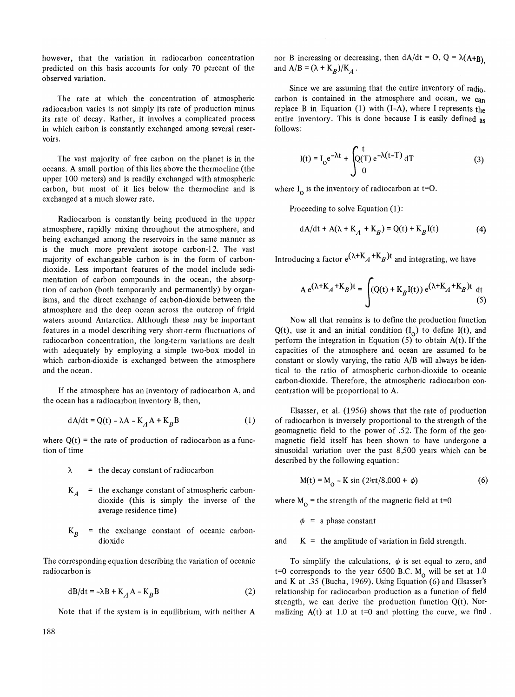however, that the variation in radiocarbon concentration predicted on this basis accounts for only 70 percent of the observed variation.

The rate at which the concentration of atmospheric radiocarbon varies is not simply its rate of production minus its rate of decay. Rather, it involves a complicated process in which carbon is constantly exchanged among several reservoirs.

The vast majority of free carbon on the planet is in the oceans. A small portion of this lies above the thermocline (the upper 100 meters) and is readily exchanged with atmospheric carbon, but most of it lies below the thermocline and is exchanged at a much slower rate.

Radiocarbon is constantly being produced in the upper atmosphere, rapidly mixing throughout the atmosphere, and being exchanged among the reservoirs in the same manner as is the much more prevalent isotope carbon-12. The vast majority of exchangeable carbon is in the form of carbondioxide. Less important features of the model include sedimentation of carbon compounds in the ocean, the absorption of carbon (both temporarily and permanently) by organisms, and the direct exchange of carbon-dioxide between the atmosphere and the deep ocean across the outcrop of frigid waters around Antarctica. Although these may be important features in a model describing very short-term fluctuations of radiocarbon concentration, the long-term variations are dealt with adequately by employing a simple two-box model in which carbon-dioxide is exchanged between the atmosphere and the ocean.

If the atmosphere has an inventory of radiocarbon A, and the ocean has a radiocarbon inventory B, then,

$$
dA/dt = Q(t) - \lambda A - K_A A + K_B B \tag{1}
$$

where  $Q(t)$  = the rate of production of radiocarbon as a function of time

- $\lambda$  = the decay constant of radiocarbon
- $K_A$  = the exchange constant of atmospheric carbondioxide (this is simply the inverse of the average residence time)
- $K_R$  = the exchange constant of oceanic carbondioxide

The corresponding equation describing the variation of oceanic radiocarbon is

$$
dB/dt = -\lambda B + K_A A - K_B B \tag{2}
$$

Note that if the system is in equilibrium, with neither A

nor B increasing or decreasing, then  $dA/dt = 0$ ,  $Q = \lambda(A+B)$ and  $A/B = (\lambda + K_B)/K_A$ .

Since we are assuming that the entire inventory of radio. carbon is contained in the atmosphere and ocean, we can replace B in Equation (1) with  $(I-A)$ , where I represents the entire inventory. This is done because I is easily defined as follows:

$$
I(t) = I_0 e^{-\lambda t} + \int_0^t (I) e^{-\lambda (t-T)} dT
$$
 (3)

where  $I_0$  is the inventory of radiocarbon at t=0.

Proceeding to solve Equation (1):

$$
dA/dt + A(\lambda + K_A + K_B) = Q(t) + K_B I(t)
$$
 (4)

Introducing a factor  $e^{(\lambda+K_A+K_B)t}$  and integrating, we have

$$
A e^{(\lambda + K_A + K_B)t} = \int (Q(t) + K_B I(t)) e^{(\lambda + K_A + K_B)t} dt
$$
(5)

Now all that remains is to define the production function Q(t), use it and an initial condition  $(I_0)$  to define I(t), and perform the integration in Equation  $(5)$  to obtain A(t). If the capacities of the atmosphere and ocean are assumed *to* be constant or slowly varying, the ratio A/B will always be identical to the ratio of atmospheric carbon-dioxide to oceanic carbon-dioxide. Therefore, the atmospheric radiocarbon concentration will be proportional to A.

Elsasser, et al. (1956) shows that the rate of production of radiocarbon is inversely proportional to the strength of the geomagnetic field to the power of .52. The form of the geomagnetic field itself has been shown to have undergone a sinusoidal variation over the past 8,500 years which can be described by the following equation:

$$
M(t) = M_0 - K \sin(2\pi t/8,000 + \phi)
$$
 (6)

where  $M_0$  = the strength of the magnetic field at t=0

 $\phi$  = a phase constant

and  $K =$  the amplitude of variation in field strength.

To simplify the calculations,  $\phi$  is set equal to zero, and t=0 corresponds to the year 6500 B.C.  $M_0$  will be set at 1.0 and K at .35 (Bucha, 1969). Using Equation (6) and Elsasser's relationship for radiocarbon production as a function of field strength, we can derive the production function  $Q(t)$ . Normalizing  $A(t)$  at 1.0 at t=0 and plotting the curve, we find.

188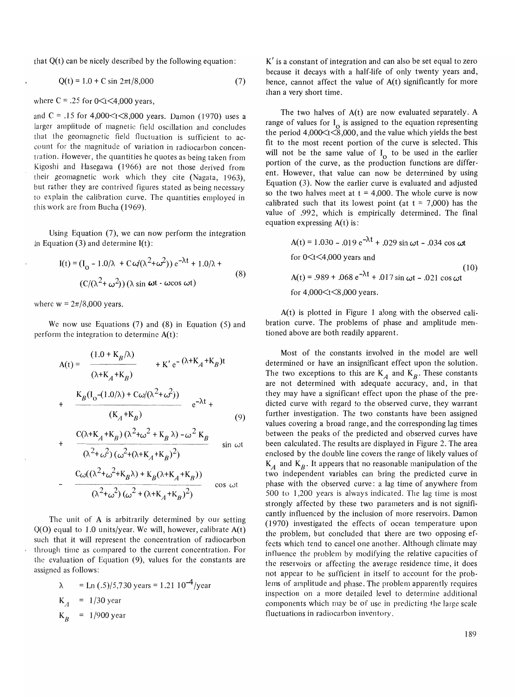that  $Q(t)$  can be nicely described by the following equation:

$$
Q(t) = 1.0 + C \sin 2\pi t / 8{,}000 \tag{7}
$$

where  $C = .25$  for  $0 \lt t \lt 4,000$  years,

and C = .15 for  $4,000 \le t \le 8,000$  years. Damon (1970) uses a larger amplitude of magnetic field oscillation and concludes that the geomagnetic field fluctuation is sufficient to account for the magnitude of variation in radiocarbon concentration. However, the quantities he quotes as being taken from Kigoshi and Hasegawa (1966) are not those derived from their geomagnetic work which they cite (Nagata, 1963), but rather they are contrived figures stated as being necessary to explain the calibration curve. The quantities employed in this work are from Bucha (1969).

Using Equation (7), we can now perform the integration in Equation  $(3)$  and determine  $I(t)$ :

$$
I(t) = (I_0 - 1.0/\lambda + C \omega/(\lambda^2 + \omega^2)) e^{-\lambda t} + 1.0/\lambda +
$$
  

$$
(C/(\lambda^2 + \omega^2)) (\lambda \sin \omega t - \omega \cos \omega t)
$$
 (8)

where  $w = 2\pi/8,000$  years.

We now use Equations (7) and (8) in Equation (5) and perform the integration to determine  $A(t)$ :

$$
A(t) = \frac{(1.0 + K_B/\lambda)}{(\lambda + K_A + K_B)} + K' e^{-(\lambda + K_A + K_B)t}
$$
  
+ 
$$
\frac{K_B(I_0 - (1.0/\lambda) + C\omega/(\lambda^2 + \omega^2))}{(K_A + K_B)} e^{-\lambda t} + C(\lambda + K_A + K_B)(\lambda^2 + \omega^2 + K_B \lambda) - \omega^2 K_B
$$
 (9)

$$
+\frac{C(\lambda + K_A + K_B)(\lambda - \omega - K_B)}{(\lambda^2 + \omega^2)(\omega^2 + (\lambda + K_A + K_B)^2)} \sin \omega t
$$

$$
-\frac{C_{\omega}((\lambda^2+\omega^2+K_B\lambda)+K_B(\lambda+K_A+K_B))}{(\lambda^2+\omega^2)(\omega^2+(\lambda+K_A+K_B)^2)}
$$
cos  $\omega t$ 

The unit of A is arbitrarily determined by our setting  $Q(O)$  equal to 1.0 units/year. We will, however, calibrate  $A(t)$ such that it will represent the concentration of radiocarbon through time as compared to the current concentration. For the evaluation of Equation (9), values for the constants are assigned as follows:

$$
\lambda = \text{Ln}(.5)/5,730 \text{ years} = 1.21 \, 10^{-4}/\text{year}
$$
  
\n
$$
K_A = 1/30 \text{ year}
$$
  
\n
$$
K_B = 1/900 \text{ year}
$$

K' is a constant of integration and can also be set equal to zero because it decays with a half-life of only twenty years and, hence, cannot affect the value of  $A(t)$  significantly for more than a very short time.

The two halves of  $A(t)$  are now evaluated separately. A range of values for  $I_0$  is assigned to the equation representing the period  $4,000 \le t \le 8,000$ , and the value which yields the best fit to the most recent portion of the curve is selected. This will not be the same value of  $I_0$  to be used in the earlier portion of the curve, as the production functions are different. However, that value can now be determined by using Equation (3). Now the earlier curve is evaluated and adjusted so the two halves meet at  $t = 4,000$ . The whole curve is now calibrated such that its lowest point (at  $t = 7,000$ ) has the value of .992, which is empirically determined. The final equation expressing  $A(t)$  is:

$$
A(t) = 1.030 - .019 e^{-\lambda t} + .029 \sin \omega t - .034 \cos \omega t
$$
  
for 0 < t < 4,000 years and  

$$
A(t) = .989 + .068 e^{-\lambda t} + .017 \sin \omega t - .021 \cos \omega t
$$
  
for 4,000 < t < 8,000 years.

A(t) is plotted in Figure 1 along with the observed calibration curve. The problems of phase and amplitude mentioned above are both readily apparent.

Most of the constants involved in the model are well determined or have an insignificant effect upon the solution. The two exceptions to this are  $K_A$  and  $K_B$ . These constants are not determined with adequate accuracy, and, in that they may have a significant effect upon the phase of the predicted curve with regard to the observed curve, they warrant further investigation. The two constants have been assigned values covering a broad range, and the corresponding lag times between the peaks of the predicted and observed curves have been calculated. The results are displayed in Figure 2. The area enclosed by the double line covers the range of likely values of  $K_A$  and  $K_B$ . It appears that no reasonable manipulation of the two independent variables can bring the predicted curve in phase with the observed curve: a lag time of anywhere from 500 to 1,200 years is always indicated. The lag time is most strongly affected by these two parameters and is not significantly influenced by the inclusion of more reservoirs. Damon (1970) investigated the effects of ocean temperature upon the problem, but concluded that there are two opposing effects which tend to cancel one another. Although climate may influence the problem by modifying the relative capacities of the reservoirs or affecting the average residence time, it does not appear to be sufficient in itself to account for the problems of amplitude and phase. The problem apparently requires inspection on a more detailed level to determine additional components which may be of use in predicting the large scale fluctuations in radiocarbon inventory.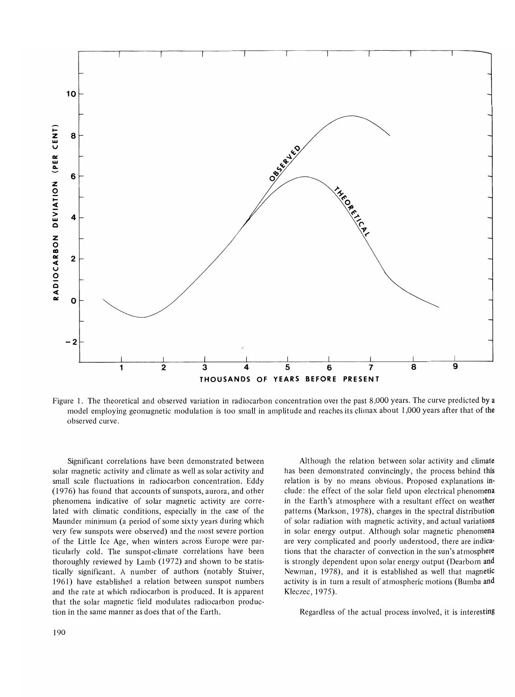

Figure 1. The theoretical and observed variation in radiocarbon concentration over the past 8,000 years. The curve predicted by a model employing geomagnetic modulation is too small in amplitude and reaches its climax about 1,000 years after that of the observed curve.

Significant correlations have been demonstrated between solar magnetic activity and climate as well as solar activity and small scale fluctuations in radiocarbon concentration. Eddy (1976) has found that accounts of sunspots, aurora, and other phenomena indicative of solar magnetic activity are correlated with climatic conditions, especially in the case of the Maunder minimum (a period of some sixty years during which very few sunspots were observed) and the most severe portion of the Little Ice Age, when winters across Europe were particularly cold. The sunspot-climate correlations have been thoroughly reviewed by Lamb (1972) and shown to be statistically significant. A number of authors (notably Stuiver, 1961) have established a relation between sunspot numbers and the rate at which radiocarbon is produced. It is apparent that the solar magnetic field modulates radiocarbon production in the same manner as does that of the Earth.

Although the relation between solar activity and climate has been demonstrated convincingly, the process behind this relation is by no means obvious. Proposed explanations include: the effect of the solar field upon electrical phenomena in the Earth's atmosphere with a resultant effect on weather patterns (Markson, 1978), changes in the spectral distribution of solar radiation with magnetic activity, and actual variations in solar energy output. Although solar magnetic phenomena are very complicated and poorly understood, there are indications that the character of convection in the sun's atmosphere is strongly dependent upon solar energy output (Dearborn and Newman, 1978), and it is established as well that magnetic activity is in turn a result of atmospheric motions (Bumba and Kleczec, 1975).

Regardless of the actual process involved, it is interesting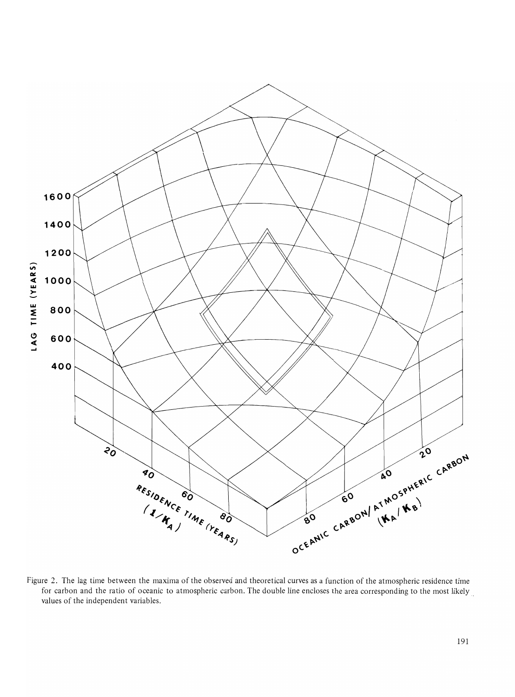

Figure 2. The lag time between the maxima of the observed and theoretical curves as a function of the atmospheric residence time for carbon and the ratio of oceanic to atmospheric carbon. The double line encloses the area corresponding to the most likely, values of the independent variables.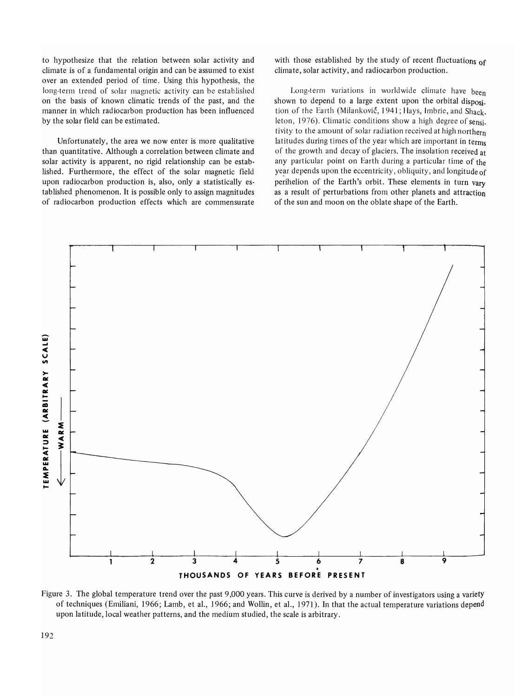to hypothesize that the relation between solar activity and climate is of a fundamental origin and can be assumed to exist over an extended period of time. Using this hypothesis, the long-term trend of solar magnetic activity can be established on the basis of known climatic trends of the past, and the manner in which radiocarbon production has been influenced by the solar field can be estimated.

Unfortunately, the area we now enter is more qualitative than quantitative. Although a correlation between climate and solar activity is apparent, no rigid relationship can be estab· lished. Furthermore, the effect of the solar magnetic field upon radiocarbon production is, also, only a statistically es· tablished phenomenon. It is possible only to assign magnitudes of radiocarbon production effects which are commensurate with those established by the study of recent fluctuations of climate, solar activity, and radiocarbon production.

Long-term variations in worldwide climate have been shown to depend to a large extent upon the orbital disposi. tion of the Earth (Milanković, 1941; Hays, Imbrie, and Shack. leton, 1976). Climatic conditions show a high degree of sensi. tivity to the amount of solar radiation received at high northern latitudes during times of the year which are important in terms of the growth and decay of glaciers. The insolation received at any particular point on Earth during a particular time of the year depends upon the eccentricity, obliquity, and longitude of perihelion of the Earth's orbit. These elements in turn vary as a result of perturbations from other planets and attraction of the sun and moon on the oblate shape of the Earth.



Figure 3. The global temperature trend over the past 9,000 years. This curve is derived by a number of investigators using a variety of techniques (Emiliani, 1966; Lamb, et aI., 1966; and Wollin, et aI., 1971). **In** that the actual temperature variations depend upon latitude, local weather patterns, and the medium studied, the scale is arbitrary.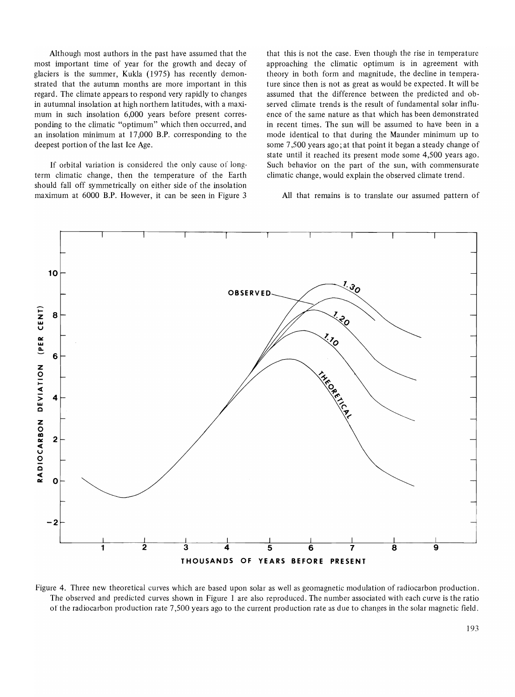Although most authors in the past have assumed that the most important time of year for the growth and decay of glaciers is the summer, Kukla (1975) has recently demonstrated that the autumn months are more important in this regard. The climate appears to respond very rapidly to changes in autumnal insolation at high northern latitudes, with a maximum in such insolation 6,000 years before present corresponding to the climatic "optimum" which then occurred, and an insolation minimum at 17,000 B.P. corresponding to the deepest portion of the last Ice Age.

If orbital variation is considered the only cause of longterm climatic change, then the temperature of the Earth should fall off symmetrically on either side of the insolation maximum at 6000 B.P. However, it can be seen in Figure 3

that this is not the case. Even though the rise in temperature approaching the climatic optimum is in agreement with theory in both form and magnitude, the decline in temperature since then is not as great as would be expected. It will be assumed that the difference between the predicted and observed climate trends is the result of fundamental solar influence of the same nature as that which has been demonstrated in recent times. The sun will be assumed to have been in a mode identical to that during the Maunder minimum up to some 7,500 years ago; at that point it began a steady change of state until it reached its present mode some 4,500 years ago. Such behavior on the part of the sun, with commensurate climatic change, would explain the observed climate trend.

All that remains is to translate our assumed pattern of



figure 4. Three new theoretical curves which are based upon solar as well as geomagnetic modulation of radiocarbon production. The observed and predicted curves shown in Figure 1 are also reproduced. The number associated with each curve is the ratio of the radiocarbon production rate 7,500 years ago to the current production rate as due to changes in the solar magnetic field.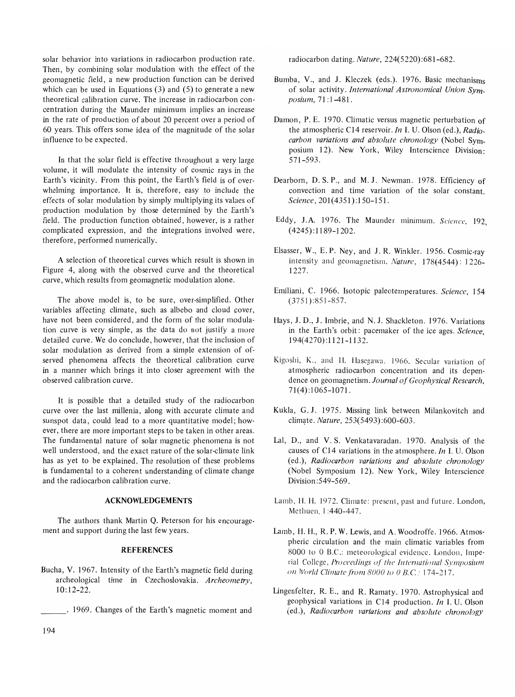solar behavior into variations in radiocarbon production rate. Then, by combining solar modulation with the effect of the geomagnetic field, a new production function can be derived which can be used in Equations (3) and (5) to generate a new theoretical calibration curve. The increase in radiocarbon concentration during the Maunder minimum implies an increase in the rate of production of about 20 percent over a period of 60 years. This offers some idea of the magnitude of the solar influence to be expected.

In that the solar field is effective throughout a very large volume, it will modulate the intensity of cosmic rays in the Earth's vicinity. From this point, the Earth's field is of overwhelming importance. It is, therefore, easy to include the effects of solar modulation by simply multiplying its values of production modulation by those determined by the Earth's field. The production function obtained, however, is a rather complicated expression, and the integrations involved were, therefore, performed numerically\_

A selection of theoretical curves which result is shown in Figure 4, along with the observed curve and the theoretical curve, which results from geomagnetic modulation alone.

The above model is, to be sure, over-simplified. Other variables affecting climate, such as albebo and cloud cover, have not been considered, and the form of the solar modulation curve is very simple, as the data do not justify a more detailed curve. We do conclude, however, that the inclusion of solar modulation as derived from a simple extension of ofserved phenomena affects the theoretical calibration curve in a manner which brings it into closer agreement with the observed calibration curve.

It is possible that a detailed study of the radiocarbon curve over the last millenia, along with accurate climate and sunspot data, could lead to a more quantitative model; however, there are more important steps to be taken in other areas. The fundamental nature of solar magnetic phenomena is not well understood, and the exact nature of the solar-climate link has as yet to be explained. The resolution of these problems is fundamental to a coherent understanding of climate change and the radiocarbon calibration curve.

#### **ACKNOWLEDGEMENTS**

The authors thank Martin Q. Peterson for his encouragement and support during the last few years.

#### **REFERENCES**

- Bucha, V. 1967. Intensity of the Earth's magnetic field during archeological time in Czechoslovakia. Archeometry, 10:12-22.
	- 1969. Changes of the Earth's magnetic moment and

radiocarbon dating. *Nature, 224(5220):681-682.* 

- Bumba, V., and J. Kleczek (eds.). 1976. Basic mechanisms of solar activity. *International Astronomical Union Symposium,* 71:1-481.
- Damon, P. E. 1970. Climatic versus magnetic perturbation of the atmospheric C14 reservoir. *In* I. U. Olson (ed.), *Radiocarbon variations and absolute chronology* (Nobel Symposium 12). New York, Wiley Interscience Division: 571-593.
- Dearborn, D. S. P., and M. J. Newman. 1978. Efficiency of convection and time variation of the solar constant. *Science,* 201 (4351) :150-151.
- Eddy, J.A. 1976. The Maunder minimum. Science, 192, (4245): 1189-1202.
- Elsasser, W., E. P. Ney, and J. R. Winkler. 1956. Cosmic-ray intensity and geomagnetism. *Nature,* 178(4544): 1226- 1227.
- Emiliani, C. 1966. Isotopic paleotemperatures. *Science, 154*  (3751 ):851-857.
- Hays, J. D., J. Imbrie, and N.J. Shackleton. 1976. Variations in the Earth's orbit: pacemaker of the ice ages. *Science,*  194(4270):1121-1132.
- Kigoshi, K., and II. Hasegawa. 1966. Secular variation of atmospheric radiocarbon concentration and its dependence on geomagnetism. *Journal of Geophysical Research,*  71 (4):1065-1071.
- Kukla, G. J. 1975. Missing link between Milankovitch and climate. *Nature*, 253(5493):600-603.
- Lal, D., and V. S. Venkatavaradan. 1970. Analysis of the causes of C14 variations in the atmosphere. *In* I. U. Olson (ed.), *Radiocarbon variations and absolute chronology*  (Nobel Symposium 12). New York, Wiley Interscience Division :549-569.
- Lamb, H. H. 1972. Climate: present, past and future. London, Methuen, 1:440-447.
- Lamb, H. H., R. P. W. Lewis, and A. Woodroffe. 1966. Atmospheric circulation and the main climatic variables from 8000 to 0 B.C.: meteorological evidence. London, Imperial College, *Proceedings of the International Symposium Oil World Climate/rom BOOO to 0 B.C'* 174-217.
- Lingenfelter, R. E., and R. Ramaty. 1970. Astrophysical and geophysical variations in C14 production. *In* I. U. Olson (ed.), *Radiocarbon variations and absolute chronology*